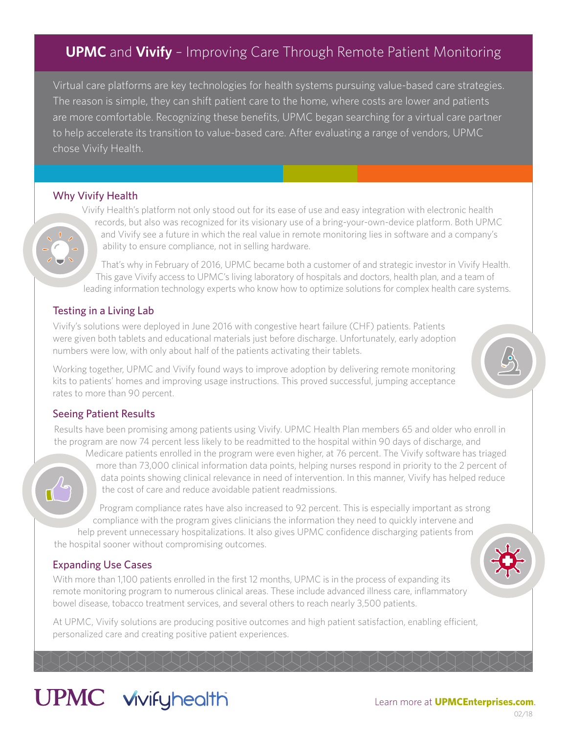### **UPMC** and **Vivify** – Improving Care Through Remote Patient Monitoring

Virtual care platforms are key technologies for health systems pursuing value-based care strategies. The reason is simple, they can shift patient care to the home, where costs are lower and patients are more comfortable. Recognizing these benefits, UPMC began searching for a virtual care partner to help accelerate its transition to value-based care. After evaluating a range of vendors, UPMC chose Vivify Health.

#### Why Vivify Health

Vivify Health's platform not only stood out for its ease of use and easy integration with electronic health records, but also was recognized for its visionary use of a bring-your-own-device platform. Both UPMC and Vivify see a future in which the real value in remote monitoring lies in software and a company's ability to ensure compliance, not in selling hardware.

That's why in February of 2016, UPMC became both a customer of and strategic investor in Vivify Health. This gave Vivify access to UPMC's living laboratory of hospitals and doctors, health plan, and a team of leading information technology experts who know how to optimize solutions for complex health care systems.

#### Testing in a Living Lab

Vivify's solutions were deployed in June 2016 with congestive heart failure (CHF) patients. Patients were given both tablets and educational materials just before discharge. Unfortunately, early adoption numbers were low, with only about half of the patients activating their tablets.

Working together, UPMC and Vivify found ways to improve adoption by delivering remote monitoring kits to patients' homes and improving usage instructions. This proved successful, jumping acceptance rates to more than 90 percent.

#### Seeing Patient Results

Results have been promising among patients using Vivify. UPMC Health Plan members 65 and older who enroll in the program are now 74 percent less likely to be readmitted to the hospital within 90 days of discharge, and

 $\P^{l}$ 

Medicare patients enrolled in the program were even higher, at 76 percent. The Vivify software has triaged more than 73,000 clinical information data points, helping nurses respond in priority to the 2 percent of data points showing clinical relevance in need of intervention. In this manner, Vivify has helped reduce the cost of care and reduce avoidable patient readmissions.

Program compliance rates have also increased to 92 percent. This is especially important as strong compliance with the program gives clinicians the information they need to quickly intervene and help prevent unnecessary hospitalizations. It also gives UPMC confidence discharging patients from the hospital sooner without compromising outcomes.

#### Expanding Use Cases

With more than 1,100 patients enrolled in the first 12 months, UPMC is in the process of expanding its remote monitoring program to numerous clinical areas. These include advanced illness care, inflammatory bowel disease, tobacco treatment services, and several others to reach nearly 3,500 patients.

At UPMC, Vivify solutions are producing positive outcomes and high patient satisfaction, enabling efficient, personalized care and creating positive patient experiences.

## **UPMC** vivifyhealth